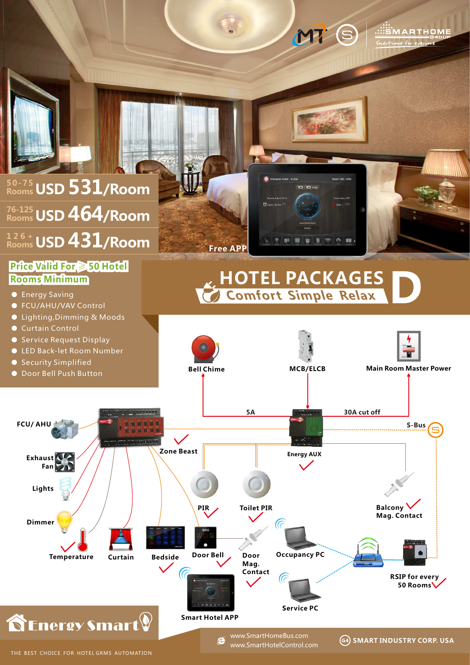

THE BEST CHOICE FOR HOTEL GRMS AUTOMATION

e www.SmartHotelControl.com